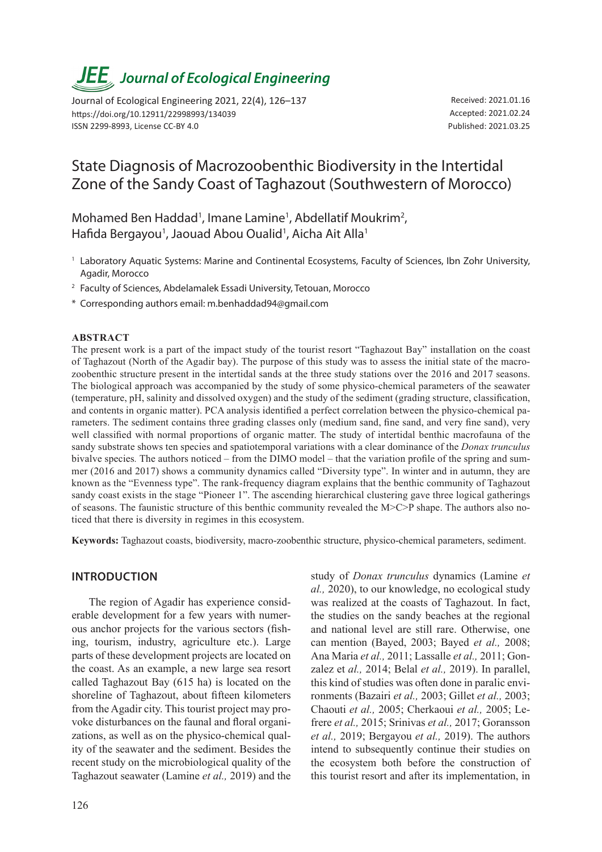# *JEE<sub>,</sub> Journal of Ecological Engineering*

Journal of Ecological Engineering 2021, 22(4), 126–137 https://doi.org/10.12911/22998993/134039 ISSN 2299-8993, License CC-BY 4.0

Received: 2021.01.16 Accepted: 2021.02.24 Published: 2021.03.25

# State Diagnosis of Macrozoobenthic Biodiversity in the Intertidal Zone of the Sandy Coast of Taghazout (Southwestern of Morocco)

Mohamed Ben Haddad<sup>1</sup>, Imane Lamine<sup>1</sup>, Abdellatif Moukrim<sup>2</sup>, Hafida Bergayou<sup>1</sup>, Jaouad Abou Oualid<sup>1</sup>, Aicha Ait Alla<sup>1</sup>

- <sup>1</sup> Laboratory Aquatic Systems: Marine and Continental Ecosystems, Faculty of Sciences, Ibn Zohr University, Agadir, Morocco
- <sup>2</sup> Faculty of Sciences, Abdelamalek Essadi University, Tetouan, Morocco
- \* Corresponding authors email: m.benhaddad94@gmail.com

#### **Abstract**

The present work is a part of the impact study of the tourist resort "Taghazout Bay" installation on the coast of Taghazout (North of the Agadir bay). The purpose of this study was to assess the initial state of the macrozoobenthic structure present in the intertidal sands at the three study stations over the 2016 and 2017 seasons. The biological approach was accompanied by the study of some physico-chemical parameters of the seawater (temperature, pH, salinity and dissolved oxygen) and the study of the sediment (grading structure, classification, and contents in organic matter). PCA analysis identified a perfect correlation between the physico-chemical parameters. The sediment contains three grading classes only (medium sand, fine sand, and very fine sand), very well classified with normal proportions of organic matter. The study of intertidal benthic macrofauna of the sandy substrate shows ten species and spatiotemporal variations with a clear dominance of the *Donax trunculus* bivalve species*.* The authors noticed – from the DIMO model – that the variation profile of the spring and summer (2016 and 2017) shows a community dynamics called "Diversity type". In winter and in autumn, they are known as the "Evenness type". The rank-frequency diagram explains that the benthic community of Taghazout sandy coast exists in the stage "Pioneer 1". The ascending hierarchical clustering gave three logical gatherings of seasons. The faunistic structure of this benthic community revealed the M>C>P shape. The authors also noticed that there is diversity in regimes in this ecosystem.

**Keywords:** Taghazout coasts, biodiversity, macro-zoobenthic structure, physico-chemical parameters, sediment.

#### **Introduction**

The region of Agadir has experience considerable development for a few years with numerous anchor projects for the various sectors (fishing, tourism, industry, agriculture etc.). Large parts of these development projects are located on the coast. As an example, a new large sea resort called Taghazout Bay (615 ha) is located on the shoreline of Taghazout, about fifteen kilometers from the Agadir city. This tourist project may provoke disturbances on the faunal and floral organizations, as well as on the physico-chemical quality of the seawater and the sediment. Besides the recent study on the microbiological quality of the Taghazout seawater (Lamine *et al.,* 2019) and the

study of *Donax trunculus* dynamics (Lamine *et al.,* 2020), to our knowledge, no ecological study was realized at the coasts of Taghazout. In fact, the studies on the sandy beaches at the regional and national level are still rare. Otherwise, one can mention (Bayed, 2003; Bayed *et al.,* 2008; Ana Maria *et al.,* 2011; Lassalle *et al.,* 2011; Gonzalez et *al.,* 2014; Belal *et al.,* 2019). In parallel, this kind of studies was often done in paralic environments (Bazairi *et al.,* 2003; Gillet *et al.,* 2003; Chaouti *et al.,* 2005; Cherkaoui *et al.,* 2005; Lefrere *et al.,* 2015; Srinivas *et al.,* 2017; Goransson *et al.,* 2019; Bergayou *et al.,* 2019). The authors intend to subsequently continue their studies on the ecosystem both before the construction of this tourist resort and after its implementation, in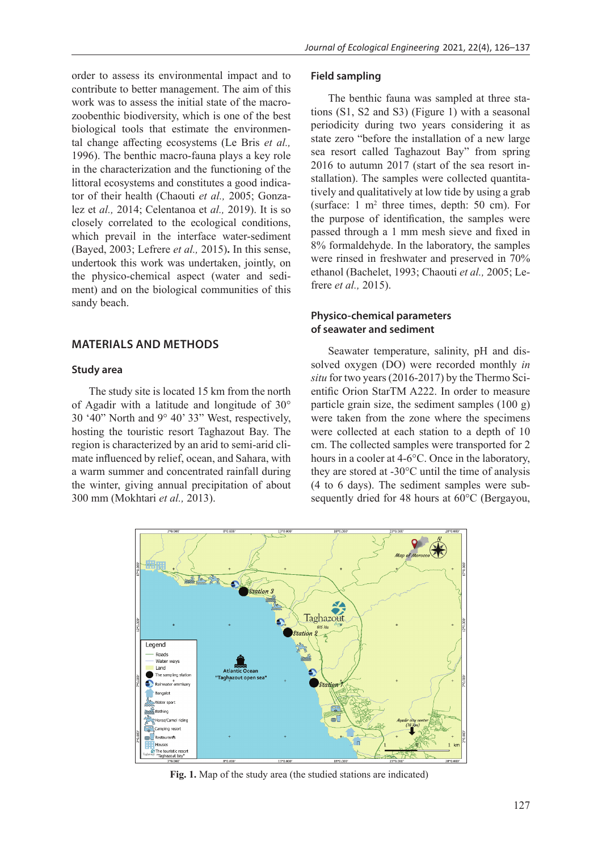order to assess its environmental impact and to contribute to better management. The aim of this work was to assess the initial state of the macrozoobenthic biodiversity, which is one of the best biological tools that estimate the environmental change affecting ecosystems (Le Bris *et al.,* 1996). The benthic macro-fauna plays a key role in the characterization and the functioning of the littoral ecosystems and constitutes a good indicator of their health (Chaouti *et al.,* 2005; Gonzalez et *al.,* 2014; Celentanoa et *al.,* 2019). It is so closely correlated to the ecological conditions, which prevail in the interface water-sediment (Bayed, 2003; Lefrere *et al.,* 2015)**.** In this sense, undertook this work was undertaken, jointly, on the physico-chemical aspect (water and sedi-

# **MATERIALS AND METHODS**

#### **Study area**

sandy beach.

The study site is located 15 km from the north of Agadir with a latitude and longitude of 30° 30 '40" North and 9° 40' 33" West, respectively, hosting the touristic resort Taghazout Bay. The region is characterized by an arid to semi-arid climate influenced by relief, ocean, and Sahara, with a warm summer and concentrated rainfall during the winter, giving annual precipitation of about 300 mm (Mokhtari *et al.,* 2013).

ment) and on the biological communities of this

#### **Field sampling**

The benthic fauna was sampled at three stations (S1, S2 and S3) (Figure 1) with a seasonal periodicity during two years considering it as state zero "before the installation of a new large sea resort called Taghazout Bay" from spring 2016 to autumn 2017 (start of the sea resort installation). The samples were collected quantitatively and qualitatively at low tide by using a grab (surface:  $1 \text{ m}^2$  three times, depth: 50 cm). For the purpose of identification, the samples were passed through a 1 mm mesh sieve and fixed in 8% formaldehyde. In the laboratory, the samples were rinsed in freshwater and preserved in 70% ethanol (Bachelet, 1993; Chaouti *et al.,* 2005; Lefrere *et al.,* 2015).

#### **Physico-chemical parameters of seawater and sediment**

Seawater temperature, salinity, pH and dissolved oxygen (DO) were recorded monthly *in situ* for two years (2016-2017) by the Thermo Scientific Orion StarTM A222. In order to measure particle grain size, the sediment samples  $(100 \text{ g})$ were taken from the zone where the specimens were collected at each station to a depth of 10 cm. The collected samples were transported for 2 hours in a cooler at 4-6°C. Once in the laboratory, they are stored at -30°C until the time of analysis (4 to 6 days). The sediment samples were subsequently dried for 48 hours at 60°C (Bergayou,



**Fig. 1.** Map of the study area (the studied stations are indicated)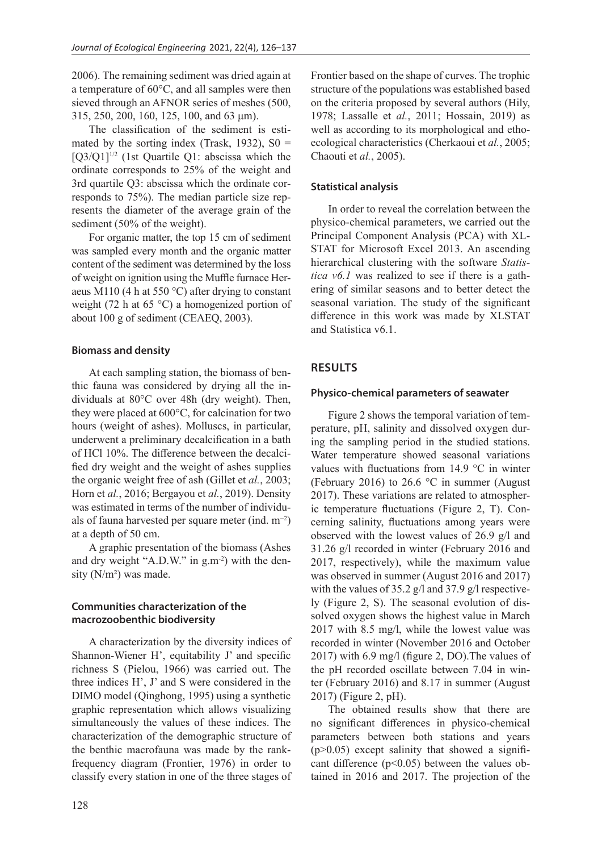2006). The remaining sediment was dried again at a temperature of 60°C, and all samples were then sieved through an AFNOR series of meshes (500, 315, 250, 200, 160, 125, 100, and 63 μm).

The classification of the sediment is estimated by the sorting index (Trask, 1932),  $S0 =$  $[Q3/Q1]^{1/2}$  (1st Quartile Q1: abscissa which the ordinate corresponds to 25% of the weight and 3rd quartile Q3: abscissa which the ordinate corresponds to 75%). The median particle size represents the diameter of the average grain of the sediment (50% of the weight).

For organic matter, the top 15 cm of sediment was sampled every month and the organic matter content of the sediment was determined by the loss of weight on ignition using the Muffle furnace Heraeus M110 (4 h at 550 °C) after drying to constant weight (72 h at 65 °C) a homogenized portion of about 100 g of sediment (CEAEQ, 2003).

#### **Biomass and density**

At each sampling station, the biomass of benthic fauna was considered by drying all the individuals at 80°C over 48h (dry weight). Then, they were placed at 600°C, for calcination for two hours (weight of ashes). Molluscs, in particular, underwent a preliminary decalcification in a bath of HCl 10%. The difference between the decalcified dry weight and the weight of ashes supplies the organic weight free of ash (Gillet et *al.*, 2003; Horn et *al.*, 2016; Bergayou et *al.*, 2019). Density was estimated in terms of the number of individuals of fauna harvested per square meter (ind. m−2) at a depth of 50 cm.

A graphic presentation of the biomass (Ashes and dry weight "A.D.W." in g.m-2) with the density (N/m²) was made.

# **Communities characterization of the macrozoobenthic biodiversity**

A characterization by the diversity indices of Shannon-Wiener H', equitability J' and specific richness S (Pielou, 1966) was carried out. The three indices H', J' and S were considered in the DIMO model (Qinghong, 1995) using a synthetic graphic representation which allows visualizing simultaneously the values of these indices. The characterization of the demographic structure of the benthic macrofauna was made by the rankfrequency diagram (Frontier, 1976) in order to classify every station in one of the three stages of Frontier based on the shape of curves. The trophic structure of the populations was established based on the criteria proposed by several authors (Hily, 1978; Lassalle et *al.*, 2011; Hossain, 2019) as well as according to its morphological and ethoecological characteristics (Cherkaoui et *al.*, 2005; Chaouti et *al.*, 2005).

#### **Statistical analysis**

In order to reveal the correlation between the physico-chemical parameters, we carried out the Principal Component Analysis (PCA) with XL-STAT for Microsoft Excel 2013. An ascending hierarchical clustering with the software *Statistica v6.1* was realized to see if there is a gathering of similar seasons and to better detect the seasonal variation. The study of the significant difference in this work was made by XLSTAT and Statistica v6.1.

# **RESULTS**

#### **Physico-chemical parameters of seawater**

Figure 2 shows the temporal variation of temperature, pH, salinity and dissolved oxygen during the sampling period in the studied stations. Water temperature showed seasonal variations values with fluctuations from 14.9 °C in winter (February 2016) to 26.6 °C in summer (August 2017). These variations are related to atmospheric temperature fluctuations (Figure 2, T). Concerning salinity, fluctuations among years were observed with the lowest values of 26.9 g/l and 31.26 g/l recorded in winter (February 2016 and 2017, respectively), while the maximum value was observed in summer (August 2016 and 2017) with the values of 35.2 g/l and 37.9 g/l respectively (Figure 2, S). The seasonal evolution of dissolved oxygen shows the highest value in March 2017 with 8.5 mg/l, while the lowest value was recorded in winter (November 2016 and October 2017) with 6.9 mg/l (figure 2, DO).The values of the pH recorded oscillate between 7.04 in winter (February 2016) and 8.17 in summer (August 2017) (Figure 2, pH).

The obtained results show that there are no significant differences in physico-chemical parameters between both stations and years  $(p>0.05)$  except salinity that showed a significant difference  $(p<0.05)$  between the values obtained in 2016 and 2017. The projection of the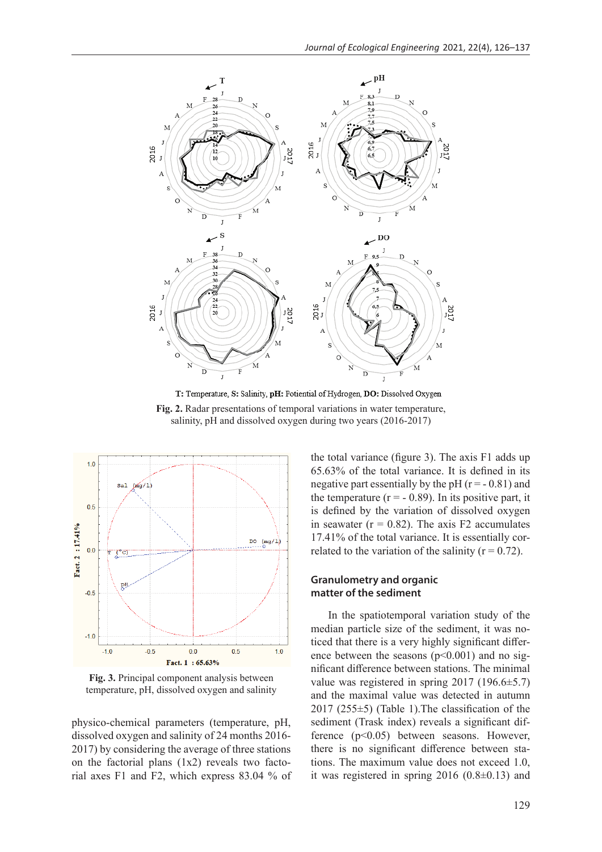

T: Temperature, S: Salinity, pH: Potiential of Hydrogen, DO: Dissolved Oxygen **Fig. 2.** Radar presentations of temporal variations in water temperature, salinity, pH and dissolved oxygen during two years (2016-2017)



**Fig. 3.** Principal component analysis between temperature, pH, dissolved oxygen and salinity

physico-chemical parameters (temperature, pH, dissolved oxygen and salinity of 24 months 2016- 2017) by considering the average of three stations on the factorial plans (1x2) reveals two factorial axes F1 and F2, which express 83.04 % of the total variance (figure 3). The axis F1 adds up 65.63% of the total variance. It is defined in its negative part essentially by the pH  $(r = -0.81)$  and the temperature  $(r = -0.89)$ . In its positive part, it is defined by the variation of dissolved oxygen in seawater ( $r = 0.82$ ). The axis F2 accumulates 17.41% of the total variance. It is essentially correlated to the variation of the salinity  $(r = 0.72)$ .

#### **Granulometry and organic matter of the sediment**

In the spatiotemporal variation study of the median particle size of the sediment, it was noticed that there is a very highly significant difference between the seasons  $(p<0.001)$  and no significant difference between stations. The minimal value was registered in spring 2017 (196.6±5.7) and the maximal value was detected in autumn  $2017$  (255 $\pm$ 5) (Table 1). The classification of the sediment (Trask index) reveals a significant difference (p<0.05) between seasons. However, there is no significant difference between stations. The maximum value does not exceed 1.0, it was registered in spring 2016 (0.8±0.13) and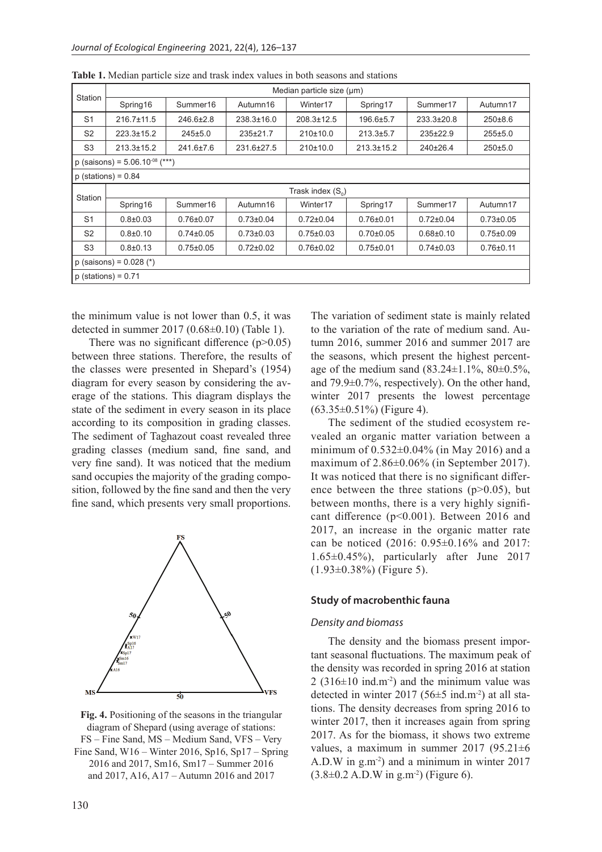| Station                            |                     |                 |                 | Median particle size (µm) |                  |                  |                 |  |  |  |  |  |  |  |  |
|------------------------------------|---------------------|-----------------|-----------------|---------------------------|------------------|------------------|-----------------|--|--|--|--|--|--|--|--|
|                                    | Spring16            | Summer16        | Autumn16        | Winter17                  | Spring17         | Summer17         | Autumn17        |  |  |  |  |  |  |  |  |
| S <sub>1</sub>                     | $216.7 \pm 11.5$    | 246.6±2.8       | 238.3±16.0      | $208.3 \pm 12.5$          | 196.6±5.7        | $233.3 \pm 20.8$ | $250\pm8.6$     |  |  |  |  |  |  |  |  |
| S <sub>2</sub>                     | $223.3 \pm 15.2$    | 245±5.0         | 235±21.7        | 210±10.0                  | $213.3 \pm 5.7$  | 235±22.9         | 255±5.0         |  |  |  |  |  |  |  |  |
| S <sub>3</sub>                     | $213.3 \pm 15.2$    | 241.6±7.6       | 231.6±27.5      | 210±10.0                  | $213.3 \pm 15.2$ | 240±26.4         | 250±5.0         |  |  |  |  |  |  |  |  |
| p (saisons) = $5.06.10^{08}$ (***) |                     |                 |                 |                           |                  |                  |                 |  |  |  |  |  |  |  |  |
| $p$ (stations) = 0.84              |                     |                 |                 |                           |                  |                  |                 |  |  |  |  |  |  |  |  |
| Station                            | Trask index $(S_0)$ |                 |                 |                           |                  |                  |                 |  |  |  |  |  |  |  |  |
|                                    | Spring16            | Summer16        | Autumn16        | Winter17                  | Spring17         | Summer17         | Autumn17        |  |  |  |  |  |  |  |  |
| S <sub>1</sub>                     | $0.8 \pm 0.03$      | $0.76 \pm 0.07$ | $0.73 \pm 0.04$ | $0.72 \pm 0.04$           | $0.76 \pm 0.01$  | $0.72 \pm 0.04$  | $0.73 \pm 0.05$ |  |  |  |  |  |  |  |  |
| S <sub>2</sub>                     | $0.8 + 0.10$        | $0.74 \pm 0.05$ | $0.73 \pm 0.03$ | $0.75 \pm 0.03$           | $0.70 \pm 0.05$  | $0.68 + 0.10$    | $0.75 \pm 0.09$ |  |  |  |  |  |  |  |  |
| S <sub>3</sub>                     | $0.8 \pm 0.13$      | $0.75 \pm 0.05$ | $0.72 \pm 0.02$ | $0.76 \pm 0.02$           | $0.75 \pm 0.01$  | $0.74 \pm 0.03$  | $0.76 + 0.11$   |  |  |  |  |  |  |  |  |
| p (saisons) = $0.028$ (*)          |                     |                 |                 |                           |                  |                  |                 |  |  |  |  |  |  |  |  |
| $p$ (stations) = 0.71              |                     |                 |                 |                           |                  |                  |                 |  |  |  |  |  |  |  |  |

**Table 1.** Median particle size and trask index values in both seasons and stations

the minimum value is not lower than 0.5, it was detected in summer 2017 (0.68±0.10) (Table 1).

There was no significant difference  $(p>0.05)$ between three stations. Therefore, the results of the classes were presented in Shepard's (1954) diagram for every season by considering the average of the stations. This diagram displays the state of the sediment in every season in its place according to its composition in grading classes. The sediment of Taghazout coast revealed three grading classes (medium sand, fine sand, and very fine sand). It was noticed that the medium sand occupies the majority of the grading composition, followed by the fine sand and then the very fine sand, which presents very small proportions.



**Fig. 4.** Positioning of the seasons in the triangular diagram of Shepard (using average of stations: FS – Fine Sand, MS – Medium Sand, VFS – Very Fine Sand, W16 – Winter 2016, Sp16, Sp17 – Spring 2016 and 2017, Sm16, Sm17 – Summer 2016 and 2017, A16, A17 – Autumn 2016 and 2017

The variation of sediment state is mainly related to the variation of the rate of medium sand. Autumn 2016, summer 2016 and summer 2017 are the seasons, which present the highest percentage of the medium sand  $(83.24 \pm 1.1\%, 80 \pm 0.5\%,$ and 79.9±0.7%, respectively). On the other hand, winter 2017 presents the lowest percentage  $(63.35\pm0.51\%)$  (Figure 4).

The sediment of the studied ecosystem revealed an organic matter variation between a minimum of 0.532±0.04% (in May 2016) and a maximum of 2.86±0.06% (in September 2017). It was noticed that there is no significant difference between the three stations  $(p>0.05)$ , but between months, there is a very highly significant difference (p<0.001). Between 2016 and 2017, an increase in the organic matter rate can be noticed (2016: 0.95±0.16% and 2017: 1.65±0.45%), particularly after June 2017  $(1.93\pm0.38\%)$  (Figure 5).

#### **Study of macrobenthic fauna**

#### *Density and biomass*

The density and the biomass present important seasonal fluctuations. The maximum peak of the density was recorded in spring 2016 at station  $2(316\pm10 \text{ ind.m}^2)$  and the minimum value was detected in winter 2017 (56 $\pm$ 5 ind.m<sup>-2</sup>) at all stations. The density decreases from spring 2016 to winter 2017, then it increases again from spring 2017. As for the biomass, it shows two extreme values, a maximum in summer  $2017$  (95.21 $\pm$ 6 A.D.W in g.m-2) and a minimum in winter 2017  $(3.8\pm0.2 \text{ A.D.}W \text{ in g.m}^{-2})$  (Figure 6).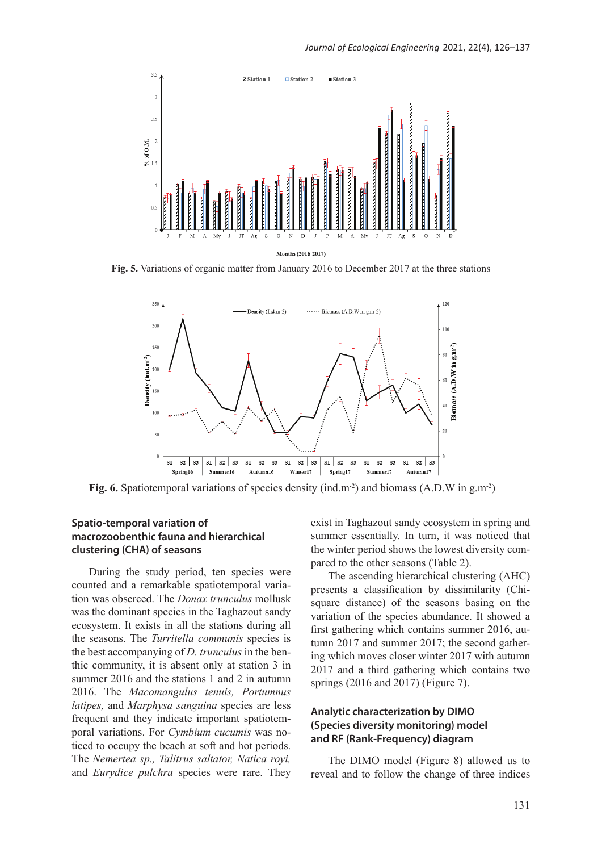

**Fig. 5.** Variations of organic matter from January 2016 to December 2017 at the three stations



Fig. 6. Spatiotemporal variations of species density (ind.m<sup>-2</sup>) and biomass (A.D.W in g.m<sup>-2</sup>)

#### **Spatio-temporal variation of macrozoobenthic fauna and hierarchical clustering (CHA) of seasons**

During the study period, ten species were counted and a remarkable spatiotemporal variation was obserced. The *Donax trunculus* mollusk was the dominant species in the Taghazout sandy ecosystem. It exists in all the stations during all the seasons. The *Turritella communis* species is the best accompanying of *D. trunculus* in the benthic community, it is absent only at station 3 in summer 2016 and the stations 1 and 2 in autumn 2016. The *Macomangulus tenuis, Portumnus latipes,* and *Marphysa sanguina* species are less frequent and they indicate important spatiotemporal variations. For *Cymbium cucumis* was noticed to occupy the beach at soft and hot periods. The *Nemertea sp., Talitrus saltator, Natica royi,* and *Eurydice pulchra* species were rare. They

exist in Taghazout sandy ecosystem in spring and summer essentially. In turn, it was noticed that the winter period shows the lowest diversity compared to the other seasons (Table 2).

The ascending hierarchical clustering (AHC) presents a classification by dissimilarity (Chisquare distance) of the seasons basing on the variation of the species abundance. It showed a first gathering which contains summer 2016, autumn 2017 and summer 2017; the second gathering which moves closer winter 2017 with autumn 2017 and a third gathering which contains two springs (2016 and 2017) (Figure 7).

# **Analytic characterization by DIMO (Species diversity monitoring) model and RF (Rank-Frequency) diagram**

The DIMO model (Figure 8) allowed us to reveal and to follow the change of three indices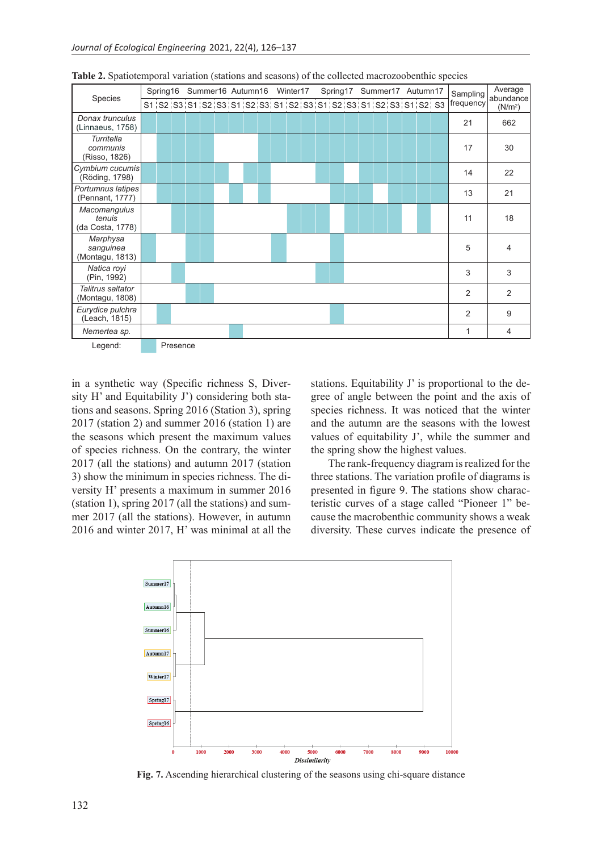| Species                                    | Spring16 |  | Summer16 Autumn16 Winter17 |  |  |  |  |  |  |  | Spring17 Summer17 Autumn17 |                                                                         |  |  |  |  | Sampling | Average<br>abundance |  |  |  |                |                     |
|--------------------------------------------|----------|--|----------------------------|--|--|--|--|--|--|--|----------------------------|-------------------------------------------------------------------------|--|--|--|--|----------|----------------------|--|--|--|----------------|---------------------|
|                                            |          |  |                            |  |  |  |  |  |  |  |                            | S1;S2;S3;S1;S2;S3;S1;S2;S3;S1;S2;S3;S1;S2;S3;S1;S2;S3;S1;S2;S3;S1;S2;S3 |  |  |  |  |          |                      |  |  |  | frequency      | (N/m <sup>2</sup> ) |
| Donax trunculus<br>(Linnaeus, 1758)        |          |  |                            |  |  |  |  |  |  |  |                            |                                                                         |  |  |  |  |          |                      |  |  |  | 21             | 662                 |
| Turritella<br>communis<br>(Risso, 1826)    |          |  |                            |  |  |  |  |  |  |  |                            |                                                                         |  |  |  |  |          |                      |  |  |  | 17             | 30                  |
| Cymbium cucumis<br>(Röding, 1798)          |          |  |                            |  |  |  |  |  |  |  |                            |                                                                         |  |  |  |  |          |                      |  |  |  | 14             | 22                  |
| Portumnus latipes<br>(Pennant, 1777)       |          |  |                            |  |  |  |  |  |  |  |                            |                                                                         |  |  |  |  |          |                      |  |  |  | 13             | 21                  |
| Macomangulus<br>tenuis<br>(da Costa, 1778) |          |  |                            |  |  |  |  |  |  |  |                            |                                                                         |  |  |  |  |          |                      |  |  |  | 11             | 18                  |
| Marphysa<br>sanguinea<br>(Montagu, 1813)   |          |  |                            |  |  |  |  |  |  |  |                            |                                                                         |  |  |  |  |          |                      |  |  |  | 5              | 4                   |
| Natica royi<br>(Pin, 1992)                 |          |  |                            |  |  |  |  |  |  |  |                            |                                                                         |  |  |  |  |          |                      |  |  |  | 3              | 3                   |
| Talitrus saltator<br>(Montagu, 1808)       |          |  |                            |  |  |  |  |  |  |  |                            |                                                                         |  |  |  |  |          |                      |  |  |  | 2              | $\overline{2}$      |
| Eurydice pulchra<br>(Leach, 1815)          |          |  |                            |  |  |  |  |  |  |  |                            |                                                                         |  |  |  |  |          |                      |  |  |  | $\mathfrak{p}$ | 9                   |
| Nemertea sp.                               |          |  |                            |  |  |  |  |  |  |  |                            |                                                                         |  |  |  |  |          |                      |  |  |  | 1              | 4                   |
| Legend:                                    |          |  | Presence                   |  |  |  |  |  |  |  |                            |                                                                         |  |  |  |  |          |                      |  |  |  |                |                     |

**Table 2.** Spatiotemporal variation (stations and seasons) of the collected macrozoobenthic species

in a synthetic way (Specific richness S, Diversity H' and Equitability J') considering both stations and seasons. Spring 2016 (Station 3), spring 2017 (station 2) and summer 2016 (station 1) are the seasons which present the maximum values of species richness. On the contrary, the winter 2017 (all the stations) and autumn 2017 (station 3) show the minimum in species richness. The diversity H' presents a maximum in summer 2016 (station 1), spring 2017 (all the stations) and summer 2017 (all the stations). However, in autumn 2016 and winter 2017, H' was minimal at all the

stations. Equitability J' is proportional to the degree of angle between the point and the axis of species richness. It was noticed that the winter and the autumn are the seasons with the lowest values of equitability J', while the summer and the spring show the highest values.

The rank-frequency diagram is realized for the three stations. The variation profile of diagrams is presented in figure 9. The stations show characteristic curves of a stage called "Pioneer 1" because the macrobenthic community shows a weak diversity. These curves indicate the presence of



**Fig. 7.** Ascending hierarchical clustering of the seasons using chi-square distance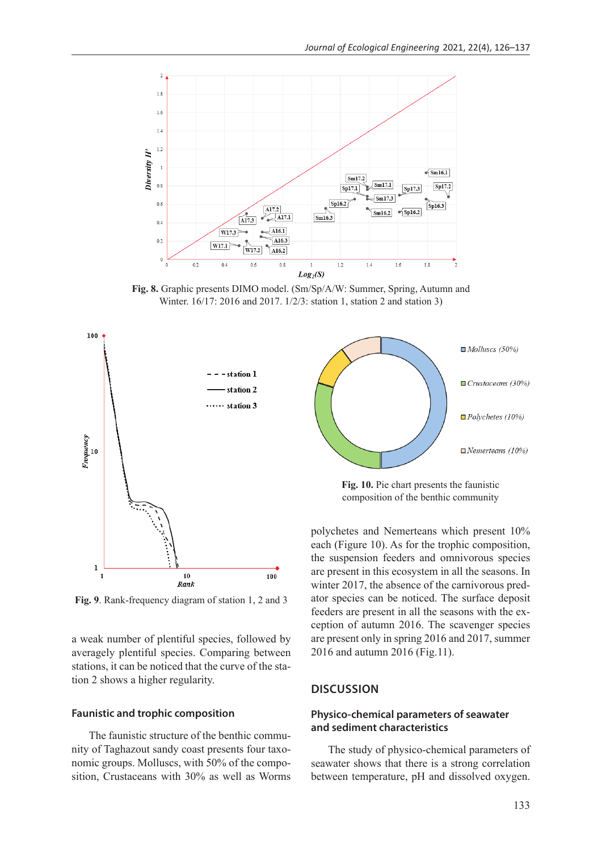

**Fig. 8.** Graphic presents DIMO model. (Sm/Sp/A/W: Summer, Spring, Autumn and Winter. 16/17: 2016 and 2017. 1/2/3: station 1, station 2 and station 3)



**Fig. 9**. Rank-frequency diagram of station 1, 2 and 3

a weak number of plentiful species, followed by averagely plentiful species. Comparing between stations, it can be noticed that the curve of the station 2 shows a higher regularity.

#### **Faunistic and trophic composition**

The faunistic structure of the benthic community of Taghazout sandy coast presents four taxonomic groups. Molluscs, with 50% of the composition, Crustaceans with 30% as well as Worms



**Fig. 10.** Pie chart presents the faunistic composition of the benthic community

polychetes and Nemerteans which present 10% each (Figure 10). As for the trophic composition, the suspension feeders and omnivorous species are present in this ecosystem in all the seasons. In winter 2017, the absence of the carnivorous predator species can be noticed. The surface deposit feeders are present in all the seasons with the exception of autumn 2016. The scavenger species are present only in spring 2016 and 2017, summer 2016 and autumn 2016 (Fig.11).

#### **DISCUSSION**

# **Physico-chemical parameters of seawater and sediment characteristics**

The study of physico-chemical parameters of seawater shows that there is a strong correlation between temperature, pH and dissolved oxygen.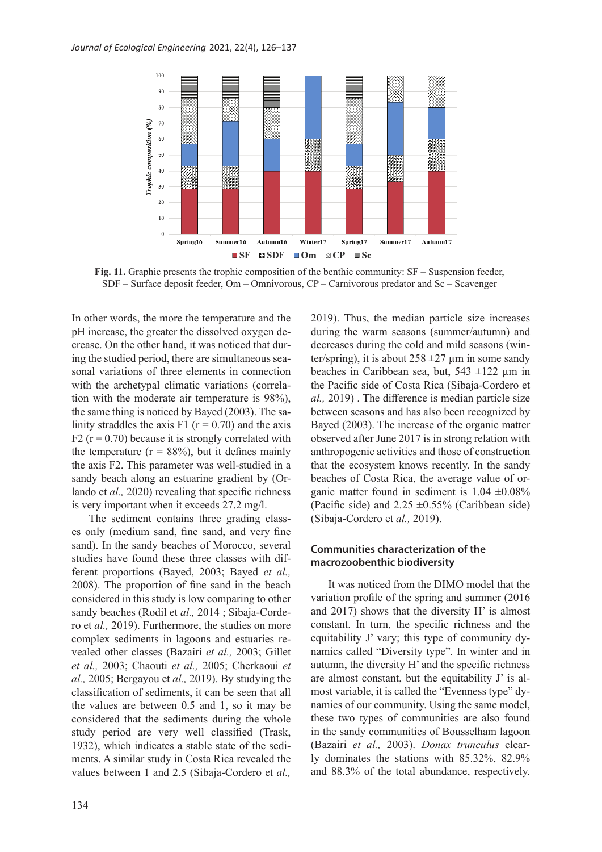

**Fig. 11.** Graphic presents the trophic composition of the benthic community: SF – Suspension feeder, SDF – Surface deposit feeder, Om – Omnivorous, CP – Carnivorous predator and Sc – Scavenger

In other words, the more the temperature and the pH increase, the greater the dissolved oxygen decrease. On the other hand, it was noticed that during the studied period, there are simultaneous seasonal variations of three elements in connection with the archetypal climatic variations (correlation with the moderate air temperature is 98%), the same thing is noticed by Bayed (2003). The salinity straddles the axis F1 ( $r = 0.70$ ) and the axis F2 ( $r = 0.70$ ) because it is strongly correlated with the temperature  $(r = 88\%)$ , but it defines mainly the axis F2. This parameter was well-studied in a sandy beach along an estuarine gradient by (Orlando et *al.,* 2020) revealing that specific richness is very important when it exceeds 27.2 mg/l.

The sediment contains three grading classes only (medium sand, fine sand, and very fine sand). In the sandy beaches of Morocco, several studies have found these three classes with different proportions (Bayed, 2003; Bayed *et al.,*  2008). The proportion of fine sand in the beach considered in this study is low comparing to other sandy beaches (Rodil et *al.,* 2014 ; Sibaja-Cordero et *al.,* 2019). Furthermore, the studies on more complex sediments in lagoons and estuaries revealed other classes (Bazairi *et al.,* 2003; Gillet *et al.,* 2003; Chaouti *et al.,* 2005; Cherkaoui *et al.,* 2005; Bergayou et *al.,* 2019). By studying the classification of sediments, it can be seen that all the values are between 0.5 and 1, so it may be considered that the sediments during the whole study period are very well classified (Trask, 1932), which indicates a stable state of the sediments. A similar study in Costa Rica revealed the values between 1 and 2.5 (Sibaja-Cordero et *al.,* 2019). Thus, the median particle size increases during the warm seasons (summer/autumn) and decreases during the cold and mild seasons (winter/spring), it is about  $258 \pm 27 \,\mu m$  in some sandy beaches in Caribbean sea, but,  $543 \pm 122$  µm in the Pacific side of Costa Rica (Sibaja-Cordero et *al.,* 2019) . The difference is median particle size between seasons and has also been recognized by Bayed (2003). The increase of the organic matter observed after June 2017 is in strong relation with anthropogenic activities and those of construction that the ecosystem knows recently. In the sandy beaches of Costa Rica, the average value of organic matter found in sediment is  $1.04 \pm 0.08\%$ (Pacific side) and  $2.25 \pm 0.55\%$  (Caribbean side) (Sibaja-Cordero et *al.,* 2019).

#### **Communities characterization of the macrozoobenthic biodiversity**

It was noticed from the DIMO model that the variation profile of the spring and summer (2016 and 2017) shows that the diversity H' is almost constant. In turn, the specific richness and the equitability J' vary; this type of community dynamics called "Diversity type". In winter and in autumn, the diversity H' and the specific richness are almost constant, but the equitability J' is almost variable, it is called the "Evenness type" dynamics of our community. Using the same model, these two types of communities are also found in the sandy communities of Bousselham lagoon (Bazairi *et al.,* 2003). *Donax trunculus* clearly dominates the stations with 85.32%, 82.9% and 88.3% of the total abundance, respectively.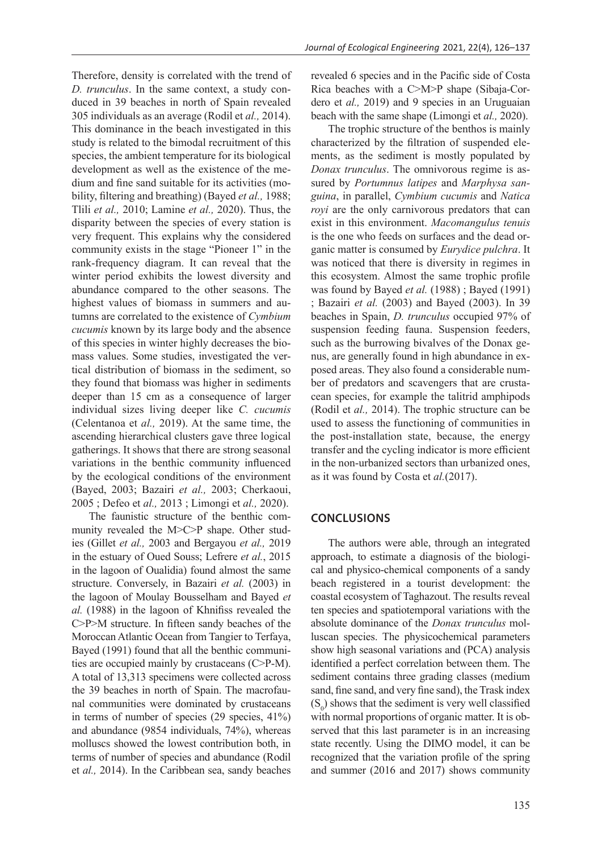Therefore, density is correlated with the trend of *D. trunculus*. In the same context, a study conduced in 39 beaches in north of Spain revealed 305 individuals as an average (Rodil et *al.,* 2014). This dominance in the beach investigated in this study is related to the bimodal recruitment of this species, the ambient temperature for its biological development as well as the existence of the medium and fine sand suitable for its activities (mobility, filtering and breathing) (Bayed *et al.,* 1988; Tlili *et al.,* 2010; Lamine *et al.,* 2020). Thus, the disparity between the species of every station is very frequent. This explains why the considered community exists in the stage "Pioneer 1" in the rank-frequency diagram. It can reveal that the winter period exhibits the lowest diversity and abundance compared to the other seasons. The highest values of biomass in summers and autumns are correlated to the existence of *Cymbium cucumis* known by its large body and the absence of this species in winter highly decreases the biomass values. Some studies, investigated the vertical distribution of biomass in the sediment, so they found that biomass was higher in sediments deeper than 15 cm as a consequence of larger individual sizes living deeper like *C. cucumis*  (Celentanoa et *al.,* 2019). At the same time, the ascending hierarchical clusters gave three logical gatherings. It shows that there are strong seasonal variations in the benthic community influenced by the ecological conditions of the environment (Bayed, 2003; Bazairi *et al.,* 2003; Cherkaoui, 2005 ; Defeo et *al.,* 2013 ; Limongi et *al.,* 2020).

The faunistic structure of the benthic community revealed the M>C>P shape. Other studies (Gillet *et al.,* 2003 and Bergayou *et al.,* 2019 in the estuary of Oued Souss; Lefrere *et al.*, 2015 in the lagoon of Oualidia) found almost the same structure. Conversely, in Bazairi *et al.* (2003) in the lagoon of Moulay Bousselham and Bayed *et al.* (1988) in the lagoon of Khnifiss revealed the C>P>M structure. In fifteen sandy beaches of the Moroccan Atlantic Ocean from Tangier to Terfaya, Bayed (1991) found that all the benthic communities are occupied mainly by crustaceans (C>P-M). A total of 13,313 specimens were collected across the 39 beaches in north of Spain. The macrofaunal communities were dominated by crustaceans in terms of number of species (29 species, 41%) and abundance (9854 individuals, 74%), whereas molluscs showed the lowest contribution both, in terms of number of species and abundance (Rodil et *al.,* 2014). In the Caribbean sea, sandy beaches

revealed 6 species and in the Pacific side of Costa Rica beaches with a C>M>P shape (Sibaja-Cordero et *al.,* 2019) and 9 species in an Uruguaian beach with the same shape (Limongi et *al.,* 2020).

The trophic structure of the benthos is mainly characterized by the filtration of suspended elements, as the sediment is mostly populated by *Donax trunculus*. The omnivorous regime is assured by *Portumnus latipes* and *Marphysa sanguina*, in parallel, *Cymbium cucumis* and *Natica royi* are the only carnivorous predators that can exist in this environment. *Macomangulus tenuis* is the one who feeds on surfaces and the dead organic matter is consumed by *Eurydice pulchra*. It was noticed that there is diversity in regimes in this ecosystem. Almost the same trophic profile was found by Bayed *et al.* (1988) ; Bayed (1991) ; Bazairi *et al.* (2003) and Bayed (2003). In 39 beaches in Spain, *D. trunculus* occupied 97% of suspension feeding fauna. Suspension feeders, such as the burrowing bivalves of the Donax genus, are generally found in high abundance in exposed areas. They also found a considerable number of predators and scavengers that are crustacean species, for example the talitrid amphipods (Rodil et *al.,* 2014). The trophic structure can be used to assess the functioning of communities in the post-installation state, because, the energy transfer and the cycling indicator is more efficient in the non-urbanized sectors than urbanized ones, as it was found by Costa et *al.*(2017).

#### **Conclusions**

The authors were able, through an integrated approach, to estimate a diagnosis of the biological and physico-chemical components of a sandy beach registered in a tourist development: the coastal ecosystem of Taghazout. The results reveal ten species and spatiotemporal variations with the absolute dominance of the *Donax trunculus* molluscan species. The physicochemical parameters show high seasonal variations and (PCA) analysis identified a perfect correlation between them. The sediment contains three grading classes (medium sand, fine sand, and very fine sand), the Trask index  $(S_0)$  shows that the sediment is very well classified with normal proportions of organic matter. It is observed that this last parameter is in an increasing state recently. Using the DIMO model, it can be recognized that the variation profile of the spring and summer (2016 and 2017) shows community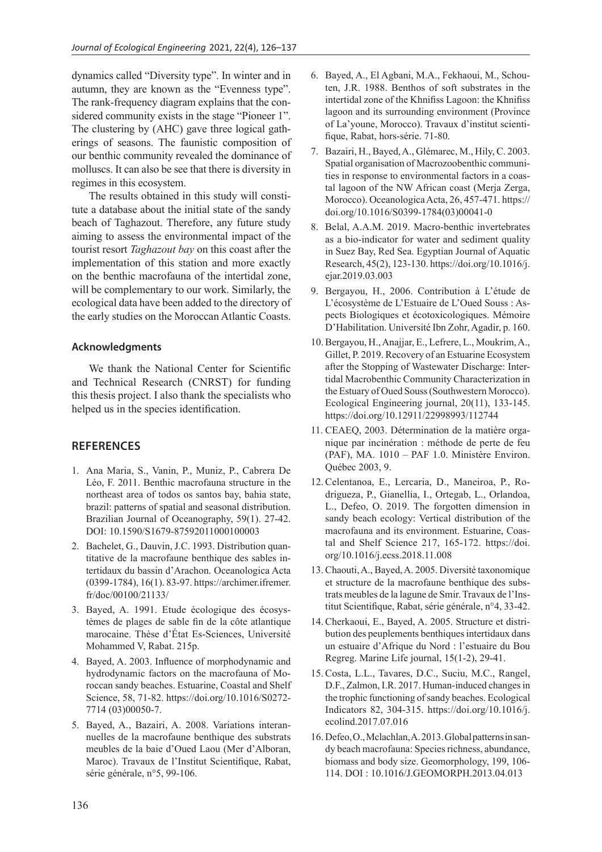dynamics called "Diversity type". In winter and in autumn, they are known as the "Evenness type". The rank-frequency diagram explains that the considered community exists in the stage "Pioneer 1". The clustering by (AHC) gave three logical gatherings of seasons. The faunistic composition of our benthic community revealed the dominance of molluscs. It can also be see that there is diversity in regimes in this ecosystem.

The results obtained in this study will constitute a database about the initial state of the sandy beach of Taghazout. Therefore, any future study aiming to assess the environmental impact of the tourist resort *Taghazout bay* on this coast after the implementation of this station and more exactly on the benthic macrofauna of the intertidal zone, will be complementary to our work. Similarly, the ecological data have been added to the directory of the early studies on the Moroccan Atlantic Coasts.

#### **Acknowledgments**

We thank the National Center for Scientific and Technical Research (CNRST) for funding this thesis project. I also thank the specialists who helped us in the species identification.

#### **References**

- 1. Ana Maria, S., Vanin, P., Muniz, P., Cabrera De Léo, F. 2011. Benthic macrofauna structure in the northeast area of todos os santos bay, bahia state, brazil: patterns of spatial and seasonal distribution. Brazilian Journal of Oceanography, 59(1). 27-42. DOI: 10.1590/S1679-87592011000100003
- 2. Bachelet, G., Dauvin, J.C. 1993. Distribution quantitative de la macrofaune benthique des sables intertidaux du bassin d'Arachon. Oceanologica Acta (0399-1784), 16(1). 83-97. https://archimer.ifremer. fr/doc/00100/21133/
- 3. Bayed, A. 1991. Etude écologique des écosystèmes de plages de sable fin de la côte atlantique marocaine. Thèse d'État Es-Sciences, Université Mohammed V, Rabat. 215p.
- 4. Bayed, A. 2003. Influence of morphodynamic and hydrodynamic factors on the macrofauna of Moroccan sandy beaches. Estuarine, Coastal and Shelf Science, 58, 71-82. https://doi.org/10.1016/S0272- 7714 (03)00050-7.
- 5. Bayed, A., Bazairi, A. 2008. Variations interannuelles de la macrofaune benthique des substrats meubles de la baie d'Oued Laou (Mer d'Alboran, Maroc). Travaux de l'Institut Scientifique, Rabat, série générale, n°5, 99-106.
- 6. Bayed, A., El Agbani, M.A., Fekhaoui, M., Schouten, J.R. 1988. Benthos of soft substrates in the intertidal zone of the Khnifiss Lagoon: the Khnifiss lagoon and its surrounding environment (Province of La'youne, Morocco). Travaux d'institut scientifique, Rabat, hors-série. 71-80.
- 7. Bazairi, H., Bayed, A., Glémarec, M., Hily, C. 2003. Spatial organisation of Macrozoobenthic communities in response to environmental factors in a coastal lagoon of the NW African coast (Merja Zerga, Morocco). Oceanologica Acta, 26, 457-471. https:// doi.org/10.1016/S0399-1784(03)00041-0
- 8. Belal, A.A.M. 2019. Macro-benthic invertebrates as a bio-indicator for water and sediment quality in Suez Bay, Red Sea. Egyptian Journal of Aquatic Research, 45(2), 123-130. https://doi.org/10.1016/j. ejar.2019.03.003
- 9. Bergayou, H., 2006. Contribution à L'étude de L'écosystème de L'Estuaire de L'Oued Souss : Aspects Biologiques et écotoxicologiques. Mémoire D'Habilitation. Université Ibn Zohr, Agadir, p. 160.
- 10. Bergayou, H., Anajjar, E., Lefrere, L., Moukrim, A., Gillet, P. 2019. Recovery of an Estuarine Ecosystem after the Stopping of Wastewater Discharge: Intertidal Macrobenthic Community Characterization in the Estuary of Oued Souss (Southwestern Morocco). Ecological Engineering journal, 20(11), 133-145. https://doi.org/10.12911/22998993/112744
- 11. CEAEQ, 2003. Détermination de la matière organique par incinération : méthode de perte de feu (PAF), MA. 1010 – PAF 1.0. Ministère Environ. Québec 2003, 9.
- 12.Celentanoa, E., Lercaria, D., Maneiroa, P., Rodrigueza, P., Gianellia, I., Ortegab, L., Orlandoa, L., Defeo, O. 2019. The forgotten dimension in sandy beach ecology: Vertical distribution of the macrofauna and its environment. Estuarine, Coastal and Shelf Science 217, 165-172. https://doi. org/10.1016/j.ecss.2018.11.008
- 13. Chaouti, A., Bayed, A. 2005. Diversité taxonomique et structure de la macrofaune benthique des substrats meubles de la lagune de Smir. Travaux de l'Institut Scientifique, Rabat, série générale, n°4, 33-42.
- 14. Cherkaoui, E., Bayed, A. 2005. Structure et distribution des peuplements benthiques intertidaux dans un estuaire d'Afrique du Nord : l'estuaire du Bou Regreg. Marine Life journal, 15(1-2), 29-41.
- 15.Costa, L.L., Tavares, D.C., Suciu, M.C., Rangel, D.F., Zalmon, I.R. 2017. Human-induced changes in the trophic functioning of sandy beaches. Ecological Indicators 82, 304-315. https://doi.org/10.1016/j. ecolind.2017.07.016
- 16. Defeo,O., Mclachlan, A. 2013. Global patterns in sandy beach macrofauna: Species richness, abundance, biomass and body size. Geomorphology, 199, 106- 114. DOI : 10.1016/J.GEOMORPH.2013.04.013